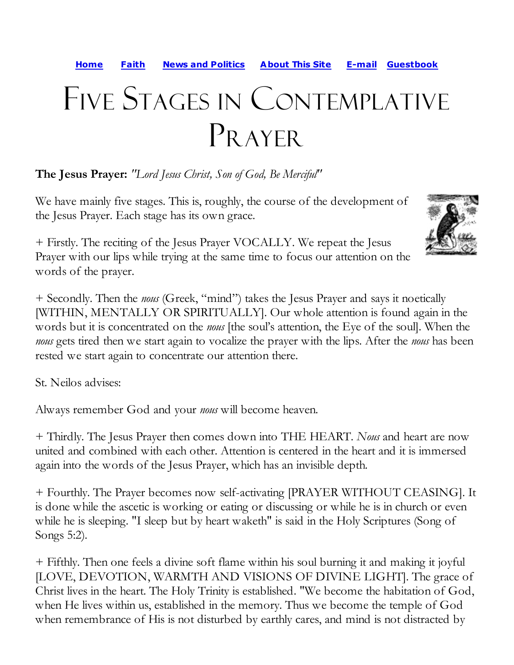**Home Faith News and Politics About This Site E-mail Guestbook**

## Five Stages in Contemplative PRAYER

**The Jesus Prayer:** *"Lord Jesus Christ, Son of God, Be Merciful"*

We have mainly five stages. This is, roughly, the course of the development of the Jesus Prayer. Each stage has its own grace.

+ Firstly. The reciting of the Jesus Prayer VOCALLY. We repeat the Jesus Prayer with our lips while trying at the same time to focus our attention on the words of the prayer.

+ Secondly. Then the *nous* (Greek, "mind") takes the Jesus Prayer and says it noetically [WITHIN, MENTALLY OR SPIRITUALLY]. Our whole attention is found again in the words but it is concentrated on the *nous* [the soul's attention, the Eye of the soul]. When the *nous* gets tired then we start again to vocalize the prayer with the lips. After the *nous* has been rested we start again to concentrate our attention there.

St. Neilos advises:

Always remember God and your *nous* will become heaven.

+ Thirdly. The Jesus Prayer then comes down into THE HEART. *Nous* and heart are now united and combined with each other. Attention is centered in the heart and it is immersed again into the words of the Jesus Prayer, which has an invisible depth.

+ Fourthly. The Prayer becomes now self-activating [PRAYER WITHOUT CEASING]. It is done while the ascetic is working or eating or discussing or while he is in church or even while he is sleeping. "I sleep but by heart waketh" is said in the Holy Scriptures (Song of Songs 5:2).

+ Fifthly. Then one feels a divine soft flame within his soul burning it and making it joyful [LOVE, DEVOTION, WARMTH AND VISIONS OF DIVINE LIGHT]. The grace of Christ lives in the heart. The Holy Trinity is established. "We become the habitation of God, when He lives within us, established in the memory. Thus we become the temple of God when remembrance of His is not disturbed by earthly cares, and mind is not distracted by